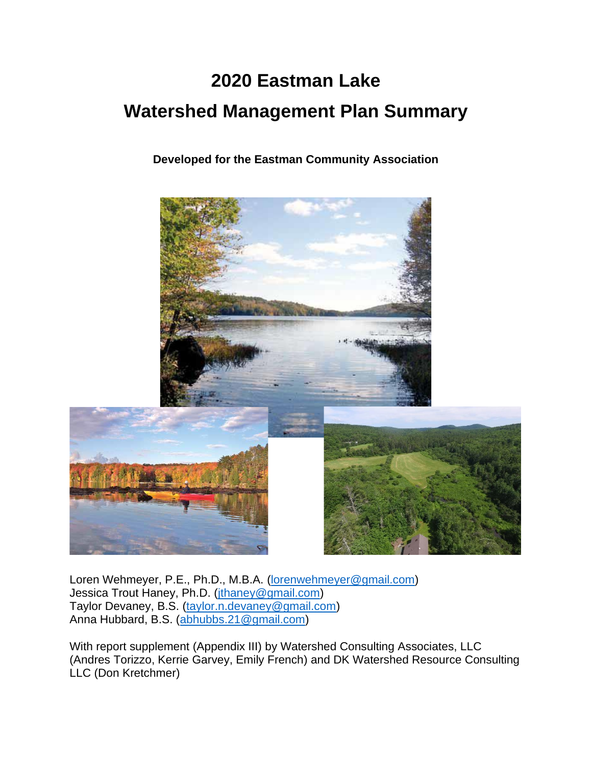# **2020 Eastman Lake Watershed Management Plan Summary**

**Developed for the Eastman Community Association**



Loren Wehmeyer, P.E., Ph.D., M.B.A. [\(lorenwehmeyer@gmail.com\)](mailto:lorenwehmeyer@gmail.com) Jessica Trout Haney, Ph.D. [\(jthaney@gmail.com\)](mailto:jthaney@gmail.com) Taylor Devaney, B.S. [\(taylor.n.devaney@gmail.com\)](mailto:taylor.n.devaney@gmail.com) Anna Hubbard, B.S. [\(abhubbs.21@gmail.com\)](mailto:abhubbs.21@gmail.com)

With report supplement (Appendix III) by Watershed Consulting Associates, LLC (Andres Torizzo, Kerrie Garvey, Emily French) and DK Watershed Resource Consulting LLC (Don Kretchmer)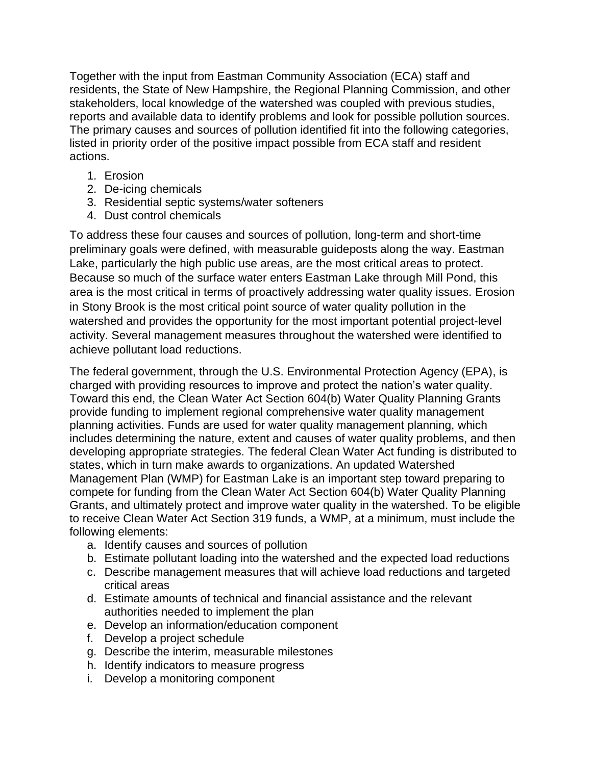Together with the input from Eastman Community Association (ECA) staff and residents, the State of New Hampshire, the Regional Planning Commission, and other stakeholders, local knowledge of the watershed was coupled with previous studies, reports and available data to identify problems and look for possible pollution sources. The primary causes and sources of pollution identified fit into the following categories, listed in priority order of the positive impact possible from ECA staff and resident actions.

- 1. Erosion
- 2. De-icing chemicals
- 3. Residential septic systems/water softeners
- 4. Dust control chemicals

To address these four causes and sources of pollution, long-term and short-time preliminary goals were defined, with measurable guideposts along the way. Eastman Lake, particularly the high public use areas, are the most critical areas to protect. Because so much of the surface water enters Eastman Lake through Mill Pond, this area is the most critical in terms of proactively addressing water quality issues. Erosion in Stony Brook is the most critical point source of water quality pollution in the watershed and provides the opportunity for the most important potential project-level activity. Several management measures throughout the watershed were identified to achieve pollutant load reductions.

The federal government, through the U.S. Environmental Protection Agency (EPA), is charged with providing resources to improve and protect the nation's water quality. Toward this end, the Clean Water Act Section 604(b) Water Quality Planning Grants provide funding to implement regional comprehensive water quality management planning activities. Funds are used for water quality management planning, which includes determining the nature, extent and causes of water quality problems, and then developing appropriate strategies. The federal Clean Water Act funding is distributed to states, which in turn make awards to organizations. An updated Watershed Management Plan (WMP) for Eastman Lake is an important step toward preparing to compete for funding from the Clean Water Act Section 604(b) Water Quality Planning Grants, and ultimately protect and improve water quality in the watershed. To be eligible to receive Clean Water Act Section 319 funds, a WMP, at a minimum, must include the following elements:

- a. Identify causes and sources of pollution
- b. Estimate pollutant loading into the watershed and the expected load reductions
- c. Describe management measures that will achieve load reductions and targeted critical areas
- d. Estimate amounts of technical and financial assistance and the relevant authorities needed to implement the plan
- e. Develop an information/education component
- f. Develop a project schedule
- g. Describe the interim, measurable milestones
- h. Identify indicators to measure progress
- i. Develop a monitoring component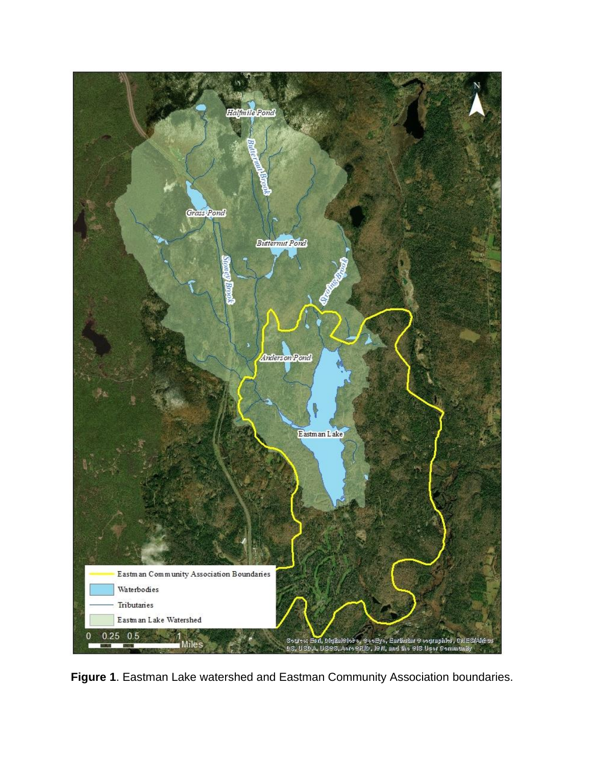

**Figure 1**. Eastman Lake watershed and Eastman Community Association boundaries.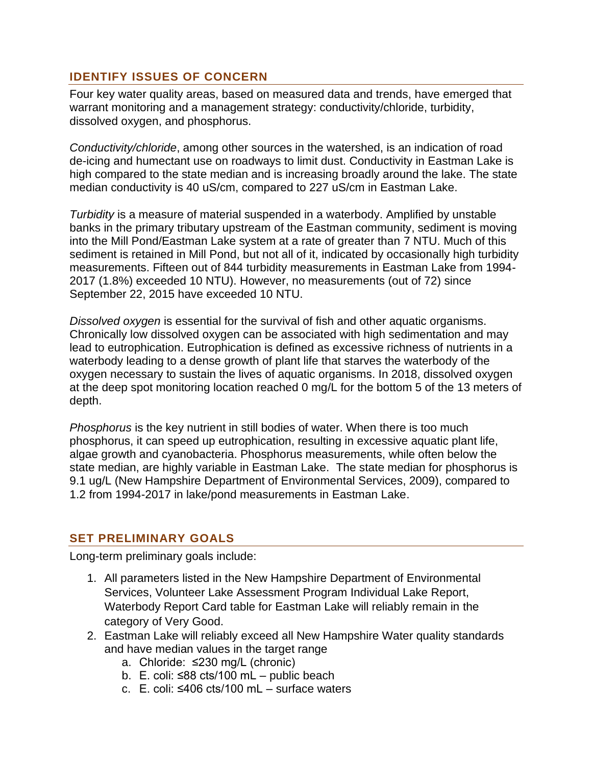### **IDENTIFY ISSUES OF CONCERN**

Four key water quality areas, based on measured data and trends, have emerged that warrant monitoring and a management strategy: conductivity/chloride, turbidity, dissolved oxygen, and phosphorus.

*Conductivity/chloride*, among other sources in the watershed, is an indication of road de-icing and humectant use on roadways to limit dust. Conductivity in Eastman Lake is high compared to the state median and is increasing broadly around the lake. The state median conductivity is 40 uS/cm, compared to 227 uS/cm in Eastman Lake.

*Turbidity* is a measure of material suspended in a waterbody. Amplified by unstable banks in the primary tributary upstream of the Eastman community, sediment is moving into the Mill Pond/Eastman Lake system at a rate of greater than 7 NTU. Much of this sediment is retained in Mill Pond, but not all of it, indicated by occasionally high turbidity measurements. Fifteen out of 844 turbidity measurements in Eastman Lake from 1994- 2017 (1.8%) exceeded 10 NTU). However, no measurements (out of 72) since September 22, 2015 have exceeded 10 NTU.

*Dissolved oxygen* is essential for the survival of fish and other aquatic organisms. Chronically low dissolved oxygen can be associated with high sedimentation and may lead to eutrophication. Eutrophication is defined as excessive richness of nutrients in a waterbody leading to a dense growth of plant life that starves the waterbody of the oxygen necessary to sustain the lives of aquatic organisms. In 2018, dissolved oxygen at the deep spot monitoring location reached 0 mg/L for the bottom 5 of the 13 meters of depth.

*Phosphorus* is the key nutrient in still bodies of water. When there is too much phosphorus, it can speed up eutrophication, resulting in excessive aquatic plant life, algae growth and cyanobacteria. Phosphorus measurements, while often below the state median, are highly variable in Eastman Lake. The state median for phosphorus is 9.1 ug/L (New Hampshire Department of Environmental Services, 2009), compared to 1.2 from 1994-2017 in lake/pond measurements in Eastman Lake.

#### **SET PRELIMINARY GOALS**

Long-term preliminary goals include:

- 1. All parameters listed in the New Hampshire Department of Environmental Services, Volunteer Lake Assessment Program Individual Lake Report, Waterbody Report Card table for Eastman Lake will reliably remain in the category of Very Good.
- 2. Eastman Lake will reliably exceed all New Hampshire Water quality standards and have median values in the target range
	- a. Chloride: ≤230 mg/L (chronic)
	- b. E. coli: ≤88 cts/100 mL public beach
	- c. E. coli: ≤406 cts/100 mL surface waters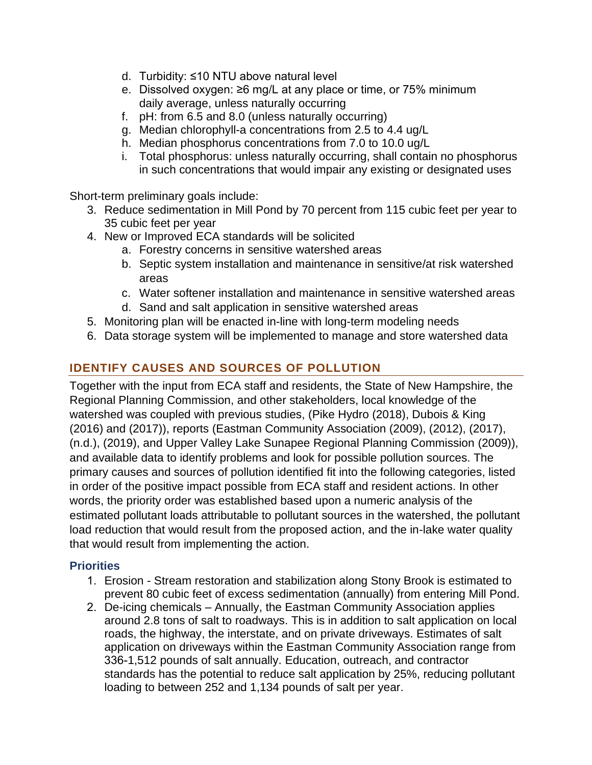- d. Turbidity: ≤10 NTU above natural level
- e. Dissolved oxygen: ≥6 mg/L at any place or time, or 75% minimum daily average, unless naturally occurring
- f. pH: from 6.5 and 8.0 (unless naturally occurring)
- g. Median chlorophyll-a concentrations from 2.5 to 4.4 ug/L
- h. Median phosphorus concentrations from 7.0 to 10.0 ug/L
- i. Total phosphorus: unless naturally occurring, shall contain no phosphorus in such concentrations that would impair any existing or designated uses

Short-term preliminary goals include:

- 3. Reduce sedimentation in Mill Pond by 70 percent from 115 cubic feet per year to 35 cubic feet per year
- 4. New or Improved ECA standards will be solicited
	- a. Forestry concerns in sensitive watershed areas
	- b. Septic system installation and maintenance in sensitive/at risk watershed areas
	- c. Water softener installation and maintenance in sensitive watershed areas
	- d. Sand and salt application in sensitive watershed areas
- 5. Monitoring plan will be enacted in-line with long-term modeling needs
- 6. Data storage system will be implemented to manage and store watershed data

# **IDENTIFY CAUSES AND SOURCES OF POLLUTION**

Together with the input from ECA staff and residents, the State of New Hampshire, the Regional Planning Commission, and other stakeholders, local knowledge of the watershed was coupled with previous studies, (Pike Hydro (2018), Dubois & King (2016) and (2017)), reports (Eastman Community Association (2009), (2012), (2017), (n.d.), (2019), and Upper Valley Lake Sunapee Regional Planning Commission (2009)), and available data to identify problems and look for possible pollution sources. The primary causes and sources of pollution identified fit into the following categories, listed in order of the positive impact possible from ECA staff and resident actions. In other words, the priority order was established based upon a numeric analysis of the estimated pollutant loads attributable to pollutant sources in the watershed, the pollutant load reduction that would result from the proposed action, and the in-lake water quality that would result from implementing the action.

## **Priorities**

- 1. Erosion Stream restoration and stabilization along Stony Brook is estimated to prevent 80 cubic feet of excess sedimentation (annually) from entering Mill Pond.
- 2. De-icing chemicals Annually, the Eastman Community Association applies around 2.8 tons of salt to roadways. This is in addition to salt application on local roads, the highway, the interstate, and on private driveways. Estimates of salt application on driveways within the Eastman Community Association range from 336-1,512 pounds of salt annually. Education, outreach, and contractor standards has the potential to reduce salt application by 25%, reducing pollutant loading to between 252 and 1,134 pounds of salt per year.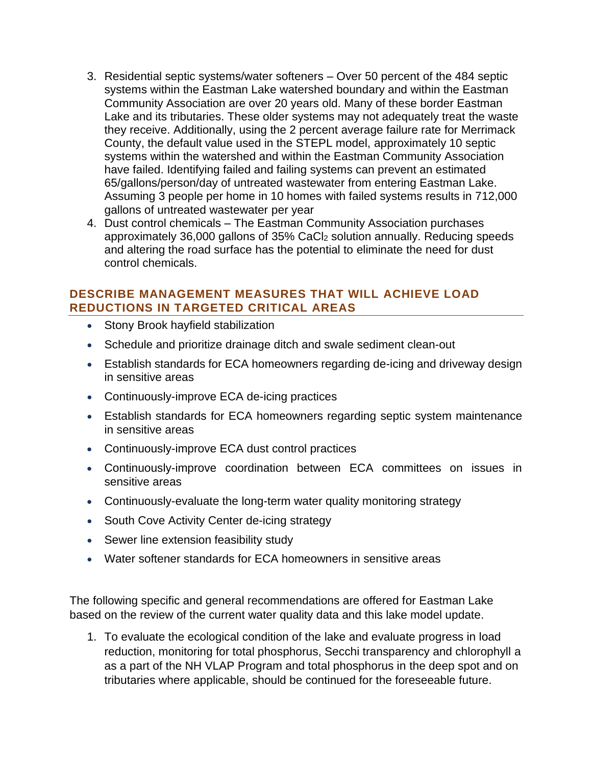- 3. Residential septic systems/water softeners Over 50 percent of the 484 septic systems within the Eastman Lake watershed boundary and within the Eastman Community Association are over 20 years old. Many of these border Eastman Lake and its tributaries. These older systems may not adequately treat the waste they receive. Additionally, using the 2 percent average failure rate for Merrimack County, the default value used in the STEPL model, approximately 10 septic systems within the watershed and within the Eastman Community Association have failed. Identifying failed and failing systems can prevent an estimated 65/gallons/person/day of untreated wastewater from entering Eastman Lake. Assuming 3 people per home in 10 homes with failed systems results in 712,000 gallons of untreated wastewater per year
- 4. Dust control chemicals The Eastman Community Association purchases approximately 36,000 gallons of 35% CaCl<sup>2</sup> solution annually. Reducing speeds and altering the road surface has the potential to eliminate the need for dust control chemicals.

#### **DESCRIBE MANAGEMENT MEASURES THAT WILL ACHIEVE LOAD REDUCTIONS IN TARGETED CRITICAL AREAS**

- Stony Brook hayfield stabilization
- Schedule and prioritize drainage ditch and swale sediment clean-out
- Establish standards for ECA homeowners regarding de-icing and driveway design in sensitive areas
- Continuously-improve ECA de-icing practices
- Establish standards for ECA homeowners regarding septic system maintenance in sensitive areas
- Continuously-improve ECA dust control practices
- Continuously-improve coordination between ECA committees on issues in sensitive areas
- Continuously-evaluate the long-term water quality monitoring strategy
- South Cove Activity Center de-icing strategy
- Sewer line extension feasibility study
- Water softener standards for ECA homeowners in sensitive areas

The following specific and general recommendations are offered for Eastman Lake based on the review of the current water quality data and this lake model update.

1. To evaluate the ecological condition of the lake and evaluate progress in load reduction, monitoring for total phosphorus, Secchi transparency and chlorophyll a as a part of the NH VLAP Program and total phosphorus in the deep spot and on tributaries where applicable, should be continued for the foreseeable future.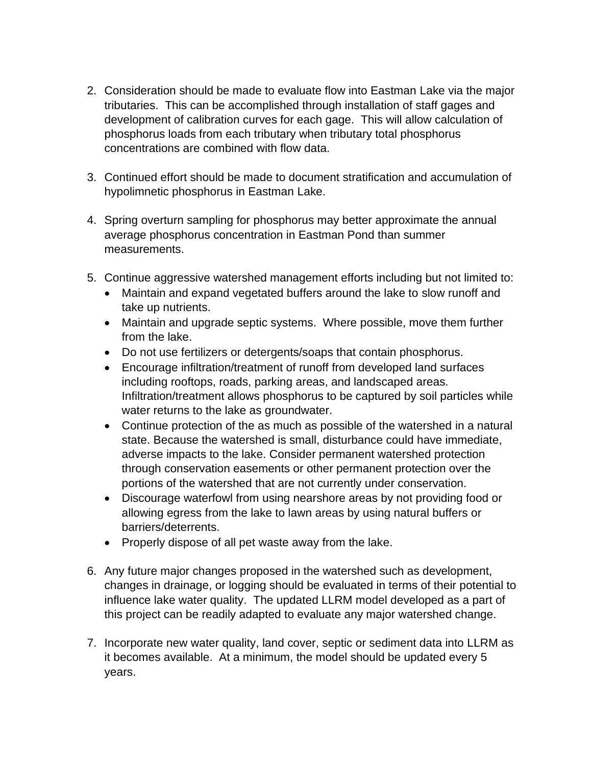- 2. Consideration should be made to evaluate flow into Eastman Lake via the major tributaries. This can be accomplished through installation of staff gages and development of calibration curves for each gage. This will allow calculation of phosphorus loads from each tributary when tributary total phosphorus concentrations are combined with flow data.
- 3. Continued effort should be made to document stratification and accumulation of hypolimnetic phosphorus in Eastman Lake.
- 4. Spring overturn sampling for phosphorus may better approximate the annual average phosphorus concentration in Eastman Pond than summer measurements.
- 5. Continue aggressive watershed management efforts including but not limited to:
	- Maintain and expand vegetated buffers around the lake to slow runoff and take up nutrients.
	- Maintain and upgrade septic systems. Where possible, move them further from the lake.
	- Do not use fertilizers or detergents/soaps that contain phosphorus.
	- Encourage infiltration/treatment of runoff from developed land surfaces including rooftops, roads, parking areas, and landscaped areas. Infiltration/treatment allows phosphorus to be captured by soil particles while water returns to the lake as groundwater.
	- Continue protection of the as much as possible of the watershed in a natural state. Because the watershed is small, disturbance could have immediate, adverse impacts to the lake. Consider permanent watershed protection through conservation easements or other permanent protection over the portions of the watershed that are not currently under conservation.
	- Discourage waterfowl from using nearshore areas by not providing food or allowing egress from the lake to lawn areas by using natural buffers or barriers/deterrents.
	- Properly dispose of all pet waste away from the lake.
- 6. Any future major changes proposed in the watershed such as development, changes in drainage, or logging should be evaluated in terms of their potential to influence lake water quality. The updated LLRM model developed as a part of this project can be readily adapted to evaluate any major watershed change.
- 7. Incorporate new water quality, land cover, septic or sediment data into LLRM as it becomes available. At a minimum, the model should be updated every 5 years.